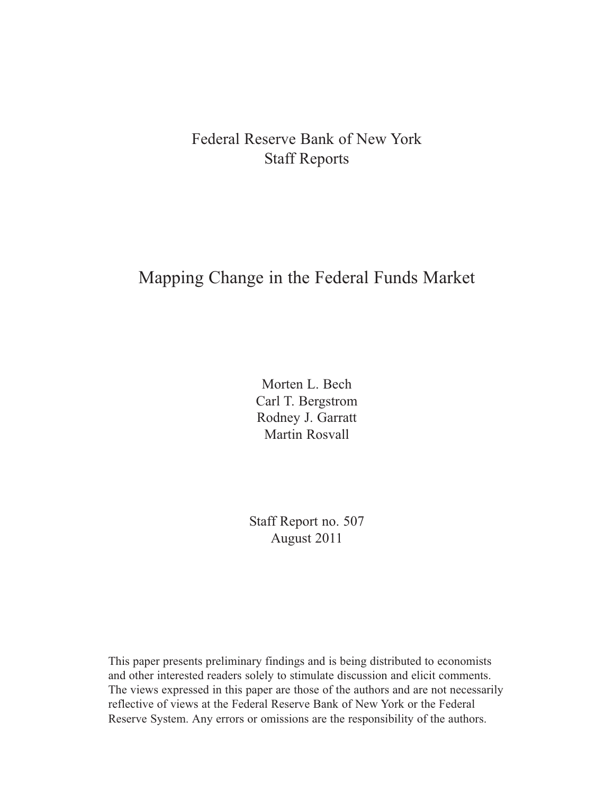## Federal Reserve Bank of New York Staff Reports

# Mapping Change in the Federal Funds Market

Morten L. Bech Carl T. Bergstrom Rodney J. Garratt Martin Rosvall

Staff Report no. 507 August 2011

This paper presents preliminary findings and is being distributed to economists and other interested readers solely to stimulate discussion and elicit comments. The views expressed in this paper are those of the authors and are not necessarily reflective of views at the Federal Reserve Bank of New York or the Federal Reserve System. Any errors or omissions are the responsibility of the authors.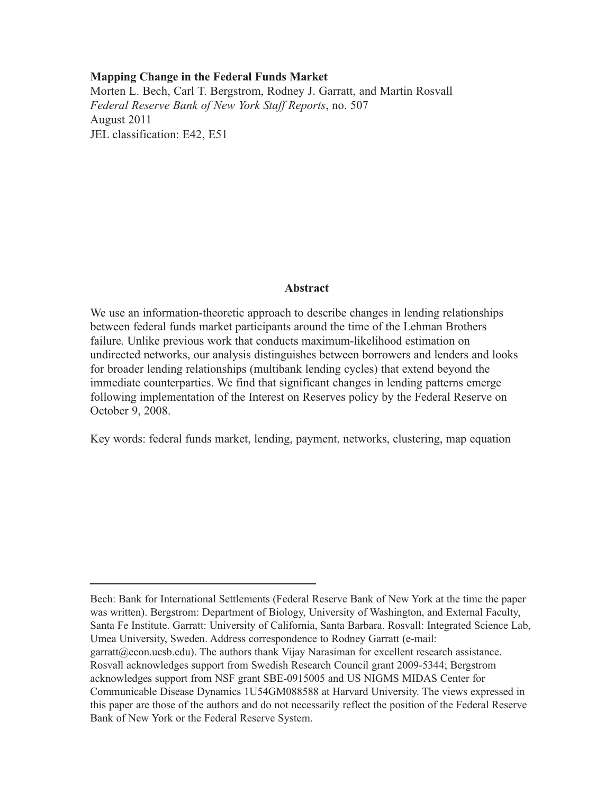#### **Mapping Change in the Federal Funds Market**

Morten L. Bech, Carl T. Bergstrom, Rodney J. Garratt, and Martin Rosvall *Federal Reserve Bank of New York Staff Reports*, no. 507 August 2011 JEL classification: E42, E51

#### **Abstract**

We use an information-theoretic approach to describe changes in lending relationships between federal funds market participants around the time of the Lehman Brothers failure. Unlike previous work that conducts maximum-likelihood estimation on undirected networks, our analysis distinguishes between borrowers and lenders and looks for broader lending relationships (multibank lending cycles) that extend beyond the immediate counterparties. We find that significant changes in lending patterns emerge following implementation of the Interest on Reserves policy by the Federal Reserve on October 9, 2008.

Key words: federal funds market, lending, payment, networks, clustering, map equation

Bech: Bank for International Settlements (Federal Reserve Bank of New York at the time the paper was written). Bergstrom: Department of Biology, University of Washington, and External Faculty, Santa Fe Institute. Garratt: University of California, Santa Barbara. Rosvall: Integrated Science Lab, Umea University, Sweden. Address correspondence to Rodney Garratt (e-mail: garratt@econ.ucsb.edu). The authors thank Vijay Narasiman for excellent research assistance. Rosvall acknowledges support from Swedish Research Council grant 2009-5344; Bergstrom acknowledges support from NSF grant SBE-0915005 and US NIGMS MIDAS Center for Communicable Disease Dynamics 1U54GM088588 at Harvard University. The views expressed in this paper are those of the authors and do not necessarily reflect the position of the Federal Reserve Bank of New York or the Federal Reserve System.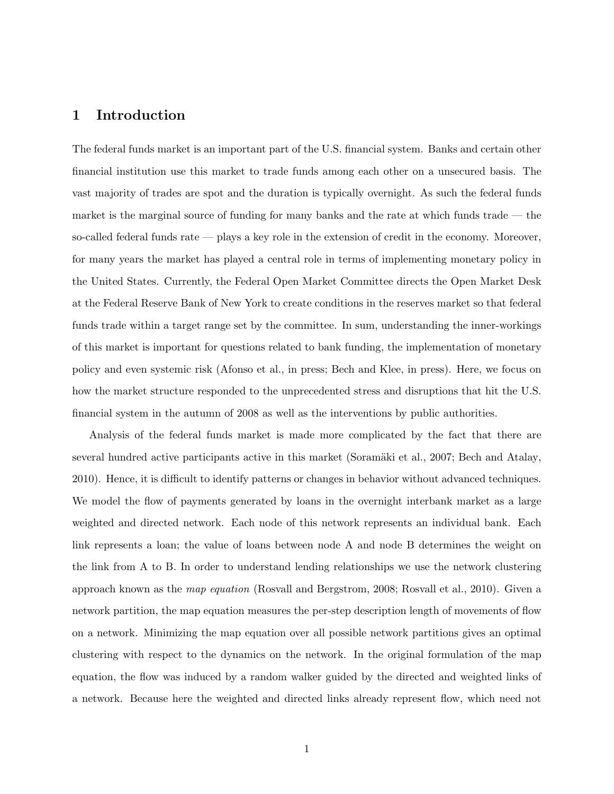## 1 Introduction

The federal funds market is an important part of the U.S. financial system. Banks and certain other financial institution use this market to trade funds among each other on a unsecured basis. The vast majority of trades are spot and the duration is typically overnight. As such the federal funds market is the marginal source of funding for many banks and the rate at which funds trade — the so-called federal funds rate — plays a key role in the extension of credit in the economy. Moreover, for many years the market has played a central role in terms of implementing monetary policy in the United States. Currently, the Federal Open Market Committee directs the Open Market Desk at the Federal Reserve Bank of New York to create conditions in the reserves market so that federal funds trade within a target range set by the committee. In sum, understanding the inner-workings of this market is important for questions related to bank funding, the implementation of monetary policy and even systemic risk (Afonso et al., in press; Bech and Klee, in press). Here, we focus on how the market structure responded to the unprecedented stress and disruptions that hit the U.S. financial system in the autumn of 2008 as well as the interventions by public authorities.

Analysis of the federal funds market is made more complicated by the fact that there are several hundred active participants active in this market (Soramäki et al., 2007; Bech and Atalay, 2010). Hence, it is difficult to identify patterns or changes in behavior without advanced techniques. We model the flow of payments generated by loans in the overnight interbank market as a large weighted and directed network. Each node of this network represents an individual bank. Each link represents a loan; the value of loans between node A and node B determines the weight on the link from A to B. In order to understand lending relationships we use the network clustering approach known as the map equation (Rosvall and Bergstrom, 2008; Rosvall et al., 2010). Given a network partition, the map equation measures the per-step description length of movements of flow on a network. Minimizing the map equation over all possible network partitions gives an optimal clustering with respect to the dynamics on the network. In the original formulation of the map equation, the flow was induced by a random walker guided by the directed and weighted links of a network. Because here the weighted and directed links already represent flow, which need not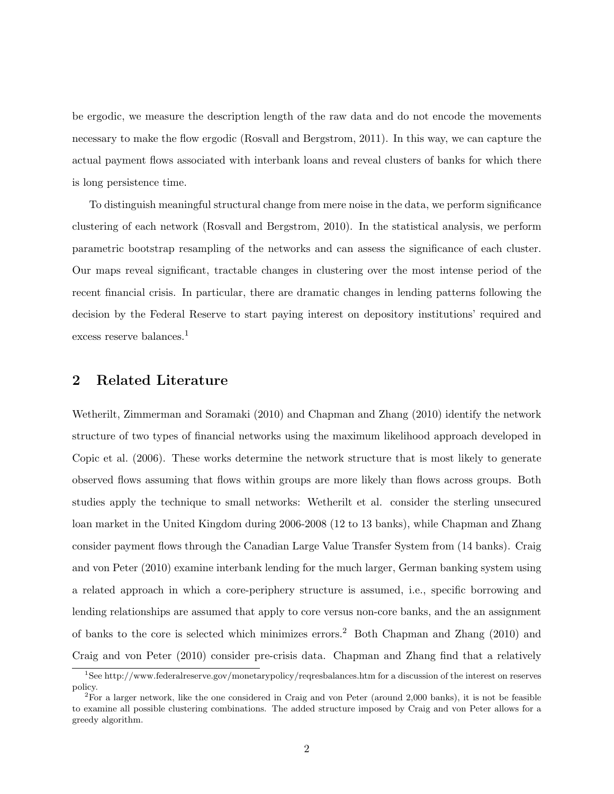be ergodic, we measure the description length of the raw data and do not encode the movements necessary to make the flow ergodic (Rosvall and Bergstrom, 2011). In this way, we can capture the actual payment flows associated with interbank loans and reveal clusters of banks for which there is long persistence time.

To distinguish meaningful structural change from mere noise in the data, we perform significance clustering of each network (Rosvall and Bergstrom, 2010). In the statistical analysis, we perform parametric bootstrap resampling of the networks and can assess the significance of each cluster. Our maps reveal significant, tractable changes in clustering over the most intense period of the recent financial crisis. In particular, there are dramatic changes in lending patterns following the decision by the Federal Reserve to start paying interest on depository institutions' required and excess reserve balances.<sup>1</sup>

## 2 Related Literature

Wetherilt, Zimmerman and Soramaki (2010) and Chapman and Zhang (2010) identify the network structure of two types of financial networks using the maximum likelihood approach developed in Copic et al. (2006). These works determine the network structure that is most likely to generate observed flows assuming that flows within groups are more likely than flows across groups. Both studies apply the technique to small networks: Wetherilt et al. consider the sterling unsecured loan market in the United Kingdom during 2006-2008 (12 to 13 banks), while Chapman and Zhang consider payment flows through the Canadian Large Value Transfer System from (14 banks). Craig and von Peter (2010) examine interbank lending for the much larger, German banking system using a related approach in which a core-periphery structure is assumed, i.e., specific borrowing and lending relationships are assumed that apply to core versus non-core banks, and the an assignment of banks to the core is selected which minimizes errors.<sup>2</sup> Both Chapman and Zhang  $(2010)$  and Craig and von Peter (2010) consider pre-crisis data. Chapman and Zhang find that a relatively

<sup>1</sup>See http://www.federalreserve.gov/monetarypolicy/reqresbalances.htm for a discussion of the interest on reserves policy.

 ${}^{2}$ For a larger network, like the one considered in Craig and von Peter (around 2,000 banks), it is not be feasible to examine all possible clustering combinations. The added structure imposed by Craig and von Peter allows for a greedy algorithm.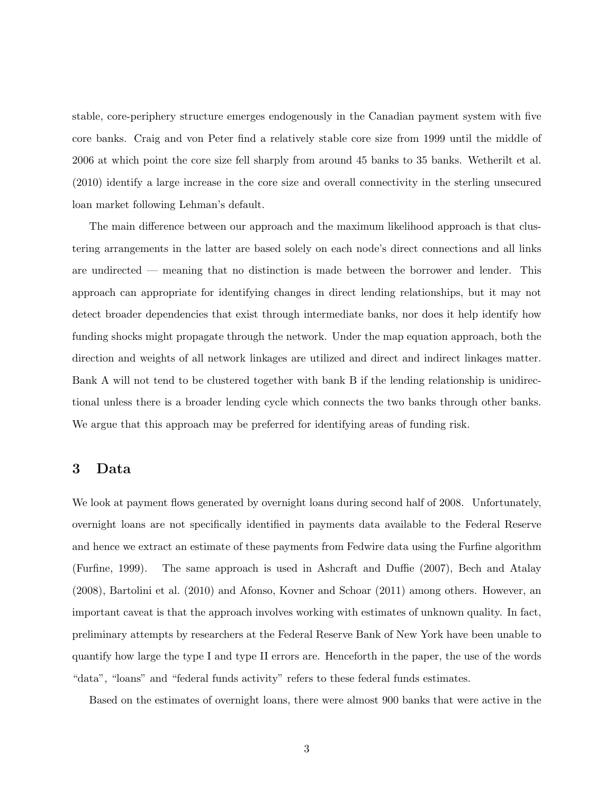stable, core-periphery structure emerges endogenously in the Canadian payment system with five core banks. Craig and von Peter find a relatively stable core size from 1999 until the middle of 2006 at which point the core size fell sharply from around 45 banks to 35 banks. Wetherilt et al. (2010) identify a large increase in the core size and overall connectivity in the sterling unsecured loan market following Lehman's default.

The main difference between our approach and the maximum likelihood approach is that clustering arrangements in the latter are based solely on each node's direct connections and all links are undirected — meaning that no distinction is made between the borrower and lender. This approach can appropriate for identifying changes in direct lending relationships, but it may not detect broader dependencies that exist through intermediate banks, nor does it help identify how funding shocks might propagate through the network. Under the map equation approach, both the direction and weights of all network linkages are utilized and direct and indirect linkages matter. Bank A will not tend to be clustered together with bank B if the lending relationship is unidirectional unless there is a broader lending cycle which connects the two banks through other banks. We argue that this approach may be preferred for identifying areas of funding risk.

#### 3 Data

We look at payment flows generated by overnight loans during second half of 2008. Unfortunately, overnight loans are not specifically identified in payments data available to the Federal Reserve and hence we extract an estimate of these payments from Fedwire data using the Furfine algorithm (Furfine, 1999). The same approach is used in Ashcraft and Duffie (2007), Bech and Atalay (2008), Bartolini et al. (2010) and Afonso, Kovner and Schoar (2011) among others. However, an important caveat is that the approach involves working with estimates of unknown quality. In fact, preliminary attempts by researchers at the Federal Reserve Bank of New York have been unable to quantify how large the type I and type II errors are. Henceforth in the paper, the use of the words "data", "loans" and "federal funds activity" refers to these federal funds estimates.

Based on the estimates of overnight loans, there were almost 900 banks that were active in the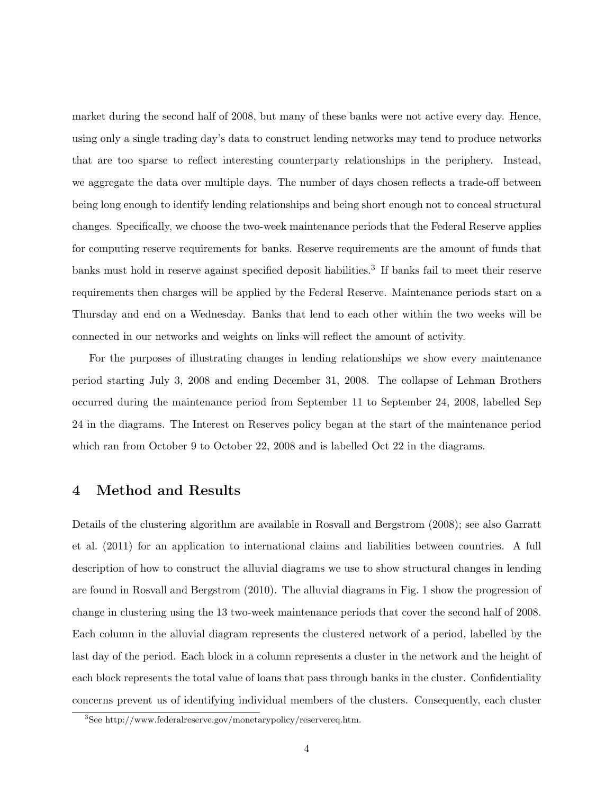market during the second half of 2008, but many of these banks were not active every day. Hence, using only a single trading day's data to construct lending networks may tend to produce networks that are too sparse to reflect interesting counterparty relationships in the periphery. Instead, we aggregate the data over multiple days. The number of days chosen reflects a trade-off between being long enough to identify lending relationships and being short enough not to conceal structural changes. Specifically, we choose the two-week maintenance periods that the Federal Reserve applies for computing reserve requirements for banks. Reserve requirements are the amount of funds that banks must hold in reserve against specified deposit liabilities.<sup>3</sup> If banks fail to meet their reserve requirements then charges will be applied by the Federal Reserve. Maintenance periods start on a Thursday and end on a Wednesday. Banks that lend to each other within the two weeks will be connected in our networks and weights on links will reflect the amount of activity.

For the purposes of illustrating changes in lending relationships we show every maintenance period starting July 3, 2008 and ending December 31, 2008. The collapse of Lehman Brothers occurred during the maintenance period from September 11 to September 24, 2008, labelled Sep 24 in the diagrams. The Interest on Reserves policy began at the start of the maintenance period which ran from October 9 to October 22, 2008 and is labelled Oct 22 in the diagrams.

### 4 Method and Results

Details of the clustering algorithm are available in Rosvall and Bergstrom (2008); see also Garratt et al. (2011) for an application to international claims and liabilities between countries. A full description of how to construct the alluvial diagrams we use to show structural changes in lending are found in Rosvall and Bergstrom (2010). The alluvial diagrams in Fig. 1 show the progression of change in clustering using the 13 two-week maintenance periods that cover the second half of 2008. Each column in the alluvial diagram represents the clustered network of a period, labelled by the last day of the period. Each block in a column represents a cluster in the network and the height of each block represents the total value of loans that pass through banks in the cluster. Confidentiality concerns prevent us of identifying individual members of the clusters. Consequently, each cluster

<sup>3</sup>See http://www.federalreserve.gov/monetarypolicy/reservereq.htm.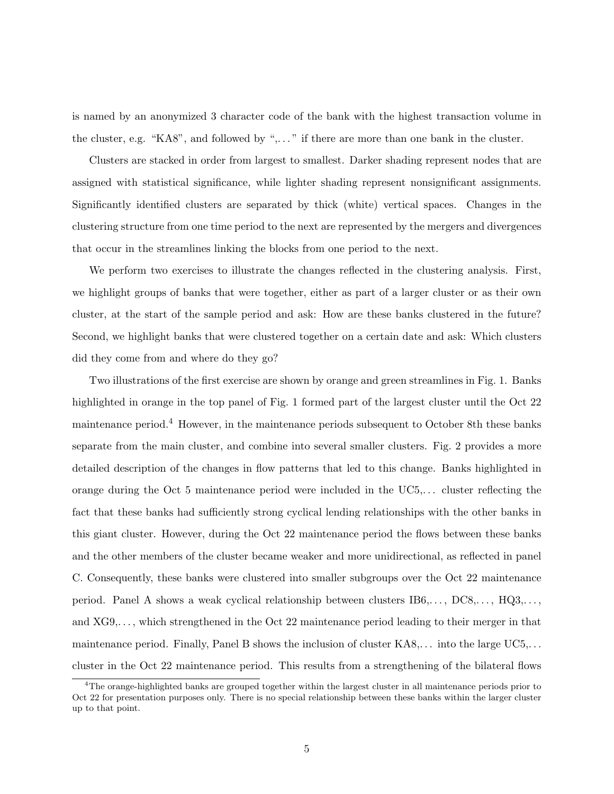is named by an anonymized 3 character code of the bank with the highest transaction volume in the cluster, e.g. "KA8", and followed by ",..." if there are more than one bank in the cluster.

Clusters are stacked in order from largest to smallest. Darker shading represent nodes that are assigned with statistical significance, while lighter shading represent nonsignificant assignments. Significantly identified clusters are separated by thick (white) vertical spaces. Changes in the clustering structure from one time period to the next are represented by the mergers and divergences that occur in the streamlines linking the blocks from one period to the next.

We perform two exercises to illustrate the changes reflected in the clustering analysis. First, we highlight groups of banks that were together, either as part of a larger cluster or as their own cluster, at the start of the sample period and ask: How are these banks clustered in the future? Second, we highlight banks that were clustered together on a certain date and ask: Which clusters did they come from and where do they go?

Two illustrations of the first exercise are shown by orange and green streamlines in Fig. 1. Banks highlighted in orange in the top panel of Fig. 1 formed part of the largest cluster until the Oct 22 maintenance period.<sup>4</sup> However, in the maintenance periods subsequent to October 8th these banks separate from the main cluster, and combine into several smaller clusters. Fig. 2 provides a more detailed description of the changes in flow patterns that led to this change. Banks highlighted in orange during the Oct 5 maintenance period were included in the UC5,. . . cluster reflecting the fact that these banks had sufficiently strong cyclical lending relationships with the other banks in this giant cluster. However, during the Oct 22 maintenance period the flows between these banks and the other members of the cluster became weaker and more unidirectional, as reflected in panel C. Consequently, these banks were clustered into smaller subgroups over the Oct 22 maintenance period. Panel A shows a weak cyclical relationship between clusters  $IB6,\ldots, DC8,\ldots, HQ3,\ldots$ and XG9,. . . , which strengthened in the Oct 22 maintenance period leading to their merger in that maintenance period. Finally, Panel B shows the inclusion of cluster KA8,. . . into the large UC5,. . . cluster in the Oct 22 maintenance period. This results from a strengthening of the bilateral flows

<sup>&</sup>lt;sup>4</sup>The orange-highlighted banks are grouped together within the largest cluster in all maintenance periods prior to Oct 22 for presentation purposes only. There is no special relationship between these banks within the larger cluster up to that point.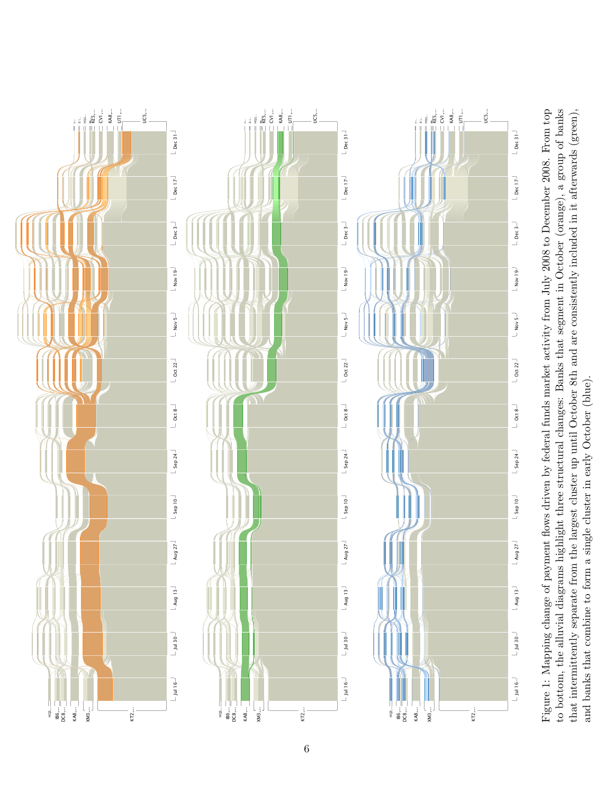

and banks that combine to form a single cluster in early October (blue). and banks that combine to form a single cluster in early October (blue).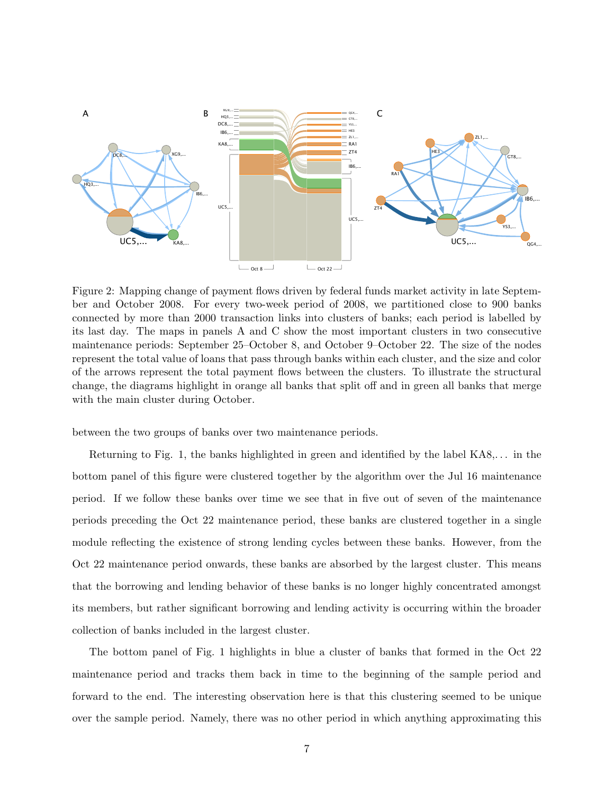

Figure 2: Mapping change of payment flows driven by federal funds market activity in late September and October 2008. For every two-week period of 2008, we partitioned close to 900 banks connected by more than 2000 transaction links into clusters of banks; each period is labelled by its last day. The maps in panels A and C show the most important clusters in two consecutive maintenance periods: September 25–October 8, and October 9–October 22. The size of the nodes represent the total value of loans that pass through banks within each cluster, and the size and color of the arrows represent the total payment flows between the clusters. To illustrate the structural change, the diagrams highlight in orange all banks that split off and in green all banks that merge with the main cluster during October.

between the two groups of banks over two maintenance periods.

Returning to Fig. 1, the banks highlighted in green and identified by the label KA8,. . . in the bottom panel of this figure were clustered together by the algorithm over the Jul 16 maintenance period. If we follow these banks over time we see that in five out of seven of the maintenance periods preceding the Oct 22 maintenance period, these banks are clustered together in a single module reflecting the existence of strong lending cycles between these banks. However, from the Oct 22 maintenance period onwards, these banks are absorbed by the largest cluster. This means that the borrowing and lending behavior of these banks is no longer highly concentrated amongst its members, but rather significant borrowing and lending activity is occurring within the broader collection of banks included in the largest cluster.

The bottom panel of Fig. 1 highlights in blue a cluster of banks that formed in the Oct 22 maintenance period and tracks them back in time to the beginning of the sample period and forward to the end. The interesting observation here is that this clustering seemed to be unique over the sample period. Namely, there was no other period in which anything approximating this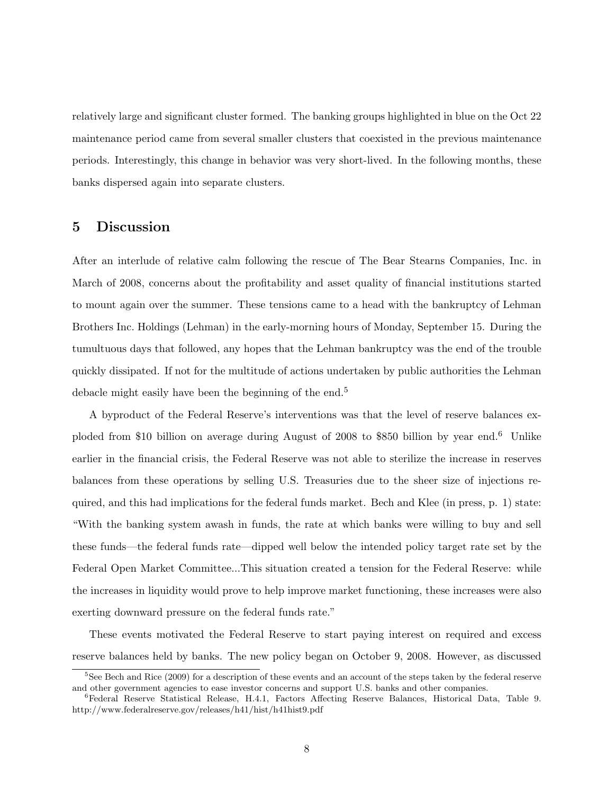relatively large and significant cluster formed. The banking groups highlighted in blue on the Oct 22 maintenance period came from several smaller clusters that coexisted in the previous maintenance periods. Interestingly, this change in behavior was very short-lived. In the following months, these banks dispersed again into separate clusters.

#### 5 Discussion

After an interlude of relative calm following the rescue of The Bear Stearns Companies, Inc. in March of 2008, concerns about the profitability and asset quality of financial institutions started to mount again over the summer. These tensions came to a head with the bankruptcy of Lehman Brothers Inc. Holdings (Lehman) in the early-morning hours of Monday, September 15. During the tumultuous days that followed, any hopes that the Lehman bankruptcy was the end of the trouble quickly dissipated. If not for the multitude of actions undertaken by public authorities the Lehman debacle might easily have been the beginning of the end.<sup>5</sup>

A byproduct of the Federal Reserve's interventions was that the level of reserve balances exploded from \$10 billion on average during August of 2008 to \$850 billion by year end.<sup>6</sup> Unlike earlier in the financial crisis, the Federal Reserve was not able to sterilize the increase in reserves balances from these operations by selling U.S. Treasuries due to the sheer size of injections required, and this had implications for the federal funds market. Bech and Klee (in press, p. 1) state: "With the banking system awash in funds, the rate at which banks were willing to buy and sell these funds—the federal funds rate—dipped well below the intended policy target rate set by the Federal Open Market Committee...This situation created a tension for the Federal Reserve: while the increases in liquidity would prove to help improve market functioning, these increases were also exerting downward pressure on the federal funds rate."

These events motivated the Federal Reserve to start paying interest on required and excess reserve balances held by banks. The new policy began on October 9, 2008. However, as discussed

<sup>&</sup>lt;sup>5</sup>See Bech and Rice (2009) for a description of these events and an account of the steps taken by the federal reserve and other government agencies to ease investor concerns and support U.S. banks and other companies.

<sup>6</sup>Federal Reserve Statistical Release, H.4.1, Factors Affecting Reserve Balances, Historical Data, Table 9. http://www.federalreserve.gov/releases/h41/hist/h41hist9.pdf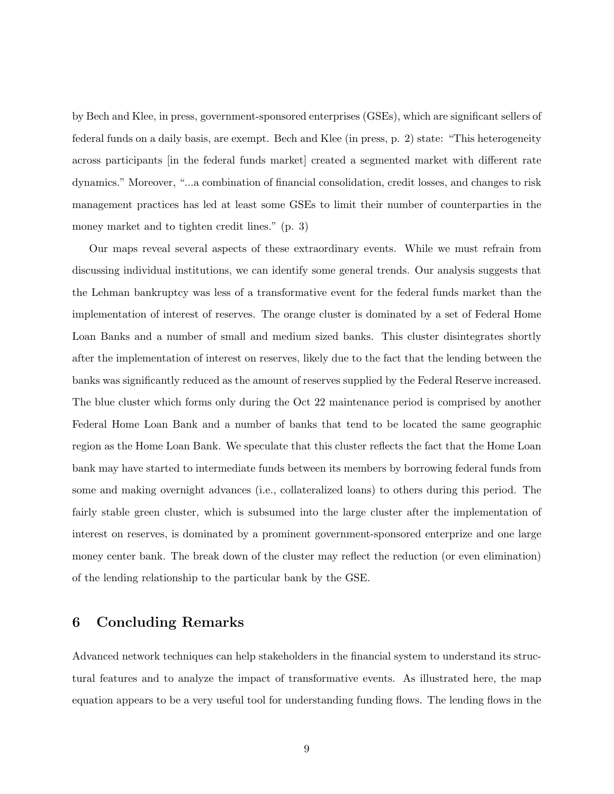by Bech and Klee, in press, government-sponsored enterprises (GSEs), which are significant sellers of federal funds on a daily basis, are exempt. Bech and Klee (in press, p. 2) state: "This heterogeneity across participants in the federal funds market created a segmented market with different rate dynamics." Moreover, "...a combination of financial consolidation, credit losses, and changes to risk management practices has led at least some GSEs to limit their number of counterparties in the money market and to tighten credit lines." (p. 3)

Our maps reveal several aspects of these extraordinary events. While we must refrain from discussing individual institutions, we can identify some general trends. Our analysis suggests that the Lehman bankruptcy was less of a transformative event for the federal funds market than the implementation of interest of reserves. The orange cluster is dominated by a set of Federal Home Loan Banks and a number of small and medium sized banks. This cluster disintegrates shortly after the implementation of interest on reserves, likely due to the fact that the lending between the banks was significantly reduced as the amount of reserves supplied by the Federal Reserve increased. The blue cluster which forms only during the Oct 22 maintenance period is comprised by another Federal Home Loan Bank and a number of banks that tend to be located the same geographic region as the Home Loan Bank. We speculate that this cluster reflects the fact that the Home Loan bank may have started to intermediate funds between its members by borrowing federal funds from some and making overnight advances (i.e., collateralized loans) to others during this period. The fairly stable green cluster, which is subsumed into the large cluster after the implementation of interest on reserves, is dominated by a prominent government-sponsored enterprize and one large money center bank. The break down of the cluster may reflect the reduction (or even elimination) of the lending relationship to the particular bank by the GSE.

## 6 Concluding Remarks

Advanced network techniques can help stakeholders in the financial system to understand its structural features and to analyze the impact of transformative events. As illustrated here, the map equation appears to be a very useful tool for understanding funding flows. The lending flows in the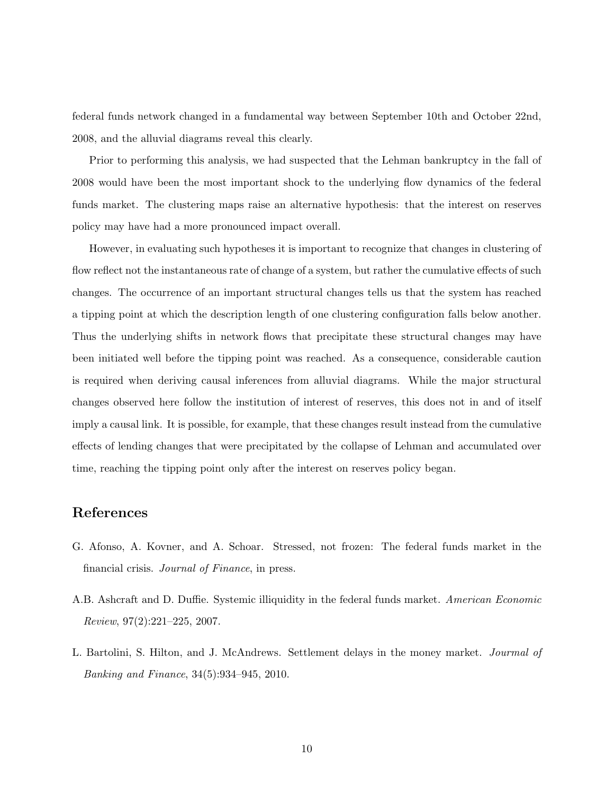federal funds network changed in a fundamental way between September 10th and October 22nd, 2008, and the alluvial diagrams reveal this clearly.

Prior to performing this analysis, we had suspected that the Lehman bankruptcy in the fall of 2008 would have been the most important shock to the underlying flow dynamics of the federal funds market. The clustering maps raise an alternative hypothesis: that the interest on reserves policy may have had a more pronounced impact overall.

However, in evaluating such hypotheses it is important to recognize that changes in clustering of flow reflect not the instantaneous rate of change of a system, but rather the cumulative effects of such changes. The occurrence of an important structural changes tells us that the system has reached a tipping point at which the description length of one clustering configuration falls below another. Thus the underlying shifts in network flows that precipitate these structural changes may have been initiated well before the tipping point was reached. As a consequence, considerable caution is required when deriving causal inferences from alluvial diagrams. While the major structural changes observed here follow the institution of interest of reserves, this does not in and of itself imply a causal link. It is possible, for example, that these changes result instead from the cumulative effects of lending changes that were precipitated by the collapse of Lehman and accumulated over time, reaching the tipping point only after the interest on reserves policy began.

## References

- G. Afonso, A. Kovner, and A. Schoar. Stressed, not frozen: The federal funds market in the financial crisis. Journal of Finance, in press.
- A.B. Ashcraft and D. Duffie. Systemic illiquidity in the federal funds market. American Economic Review, 97(2):221–225, 2007.
- L. Bartolini, S. Hilton, and J. McAndrews. Settlement delays in the money market. Jourmal of Banking and Finance, 34(5):934–945, 2010.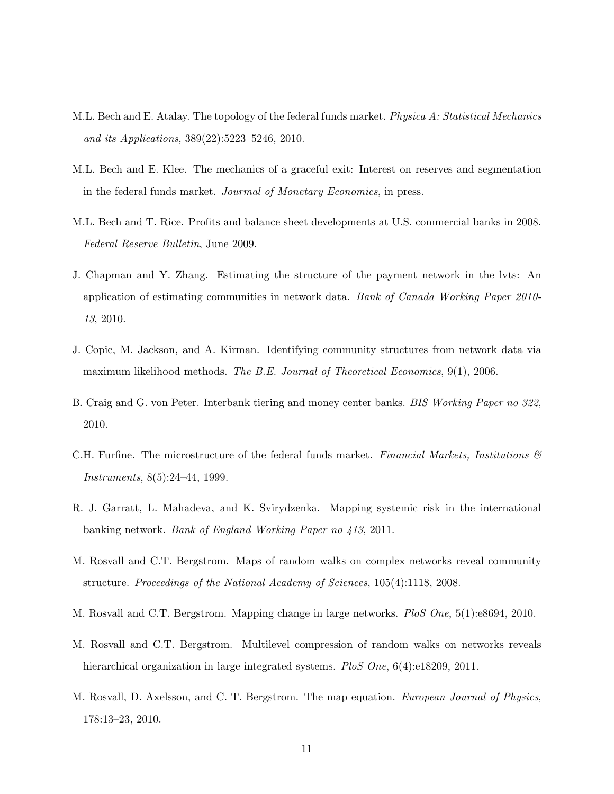- M.L. Bech and E. Atalay. The topology of the federal funds market. Physica A: Statistical Mechanics and its Applications, 389(22):5223–5246, 2010.
- M.L. Bech and E. Klee. The mechanics of a graceful exit: Interest on reserves and segmentation in the federal funds market. Jourmal of Monetary Economics, in press.
- M.L. Bech and T. Rice. Profits and balance sheet developments at U.S. commercial banks in 2008. Federal Reserve Bulletin, June 2009.
- J. Chapman and Y. Zhang. Estimating the structure of the payment network in the lvts: An application of estimating communities in network data. Bank of Canada Working Paper 2010- 13, 2010.
- J. Copic, M. Jackson, and A. Kirman. Identifying community structures from network data via maximum likelihood methods. The B.E. Journal of Theoretical Economics, 9(1), 2006.
- B. Craig and G. von Peter. Interbank tiering and money center banks. BIS Working Paper no 322, 2010.
- C.H. Furfine. The microstructure of the federal funds market. Financial Markets, Institutions  $\mathcal{C}$ Instruments, 8(5):24–44, 1999.
- R. J. Garratt, L. Mahadeva, and K. Svirydzenka. Mapping systemic risk in the international banking network. Bank of England Working Paper no 413, 2011.
- M. Rosvall and C.T. Bergstrom. Maps of random walks on complex networks reveal community structure. Proceedings of the National Academy of Sciences, 105(4):1118, 2008.
- M. Rosvall and C.T. Bergstrom. Mapping change in large networks. PloS One, 5(1):e8694, 2010.
- M. Rosvall and C.T. Bergstrom. Multilevel compression of random walks on networks reveals hierarchical organization in large integrated systems. PloS One, 6(4):e18209, 2011.
- M. Rosvall, D. Axelsson, and C. T. Bergstrom. The map equation. European Journal of Physics, 178:13–23, 2010.